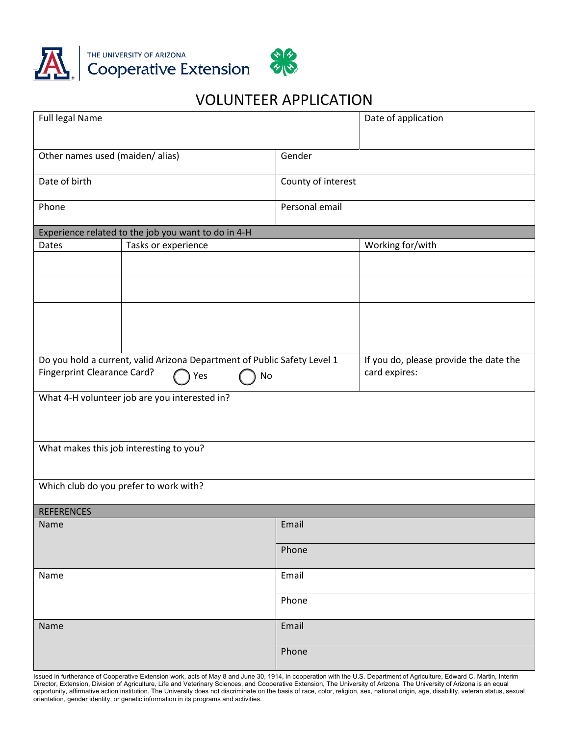

## VOLUNTEER APPLICATION

| Full legal Name                                                          |           |                    | Date of application                    |
|--------------------------------------------------------------------------|-----------|--------------------|----------------------------------------|
| Other names used (maiden/ alias)                                         |           | Gender             |                                        |
| Date of birth                                                            |           | County of interest |                                        |
| Phone                                                                    |           | Personal email     |                                        |
| Experience related to the job you want to do in 4-H                      |           |                    |                                        |
| Tasks or experience<br>Dates                                             |           | Working for/with   |                                        |
|                                                                          |           |                    |                                        |
|                                                                          |           |                    |                                        |
|                                                                          |           |                    |                                        |
|                                                                          |           |                    |                                        |
| Do you hold a current, valid Arizona Department of Public Safety Level 1 |           |                    | If you do, please provide the date the |
| <b>Fingerprint Clearance Card?</b>                                       | No<br>Yes |                    | card expires:                          |
| What 4-H volunteer job are you interested in?                            |           |                    |                                        |
| What makes this job interesting to you?                                  |           |                    |                                        |
| Which club do you prefer to work with?                                   |           |                    |                                        |
| <b>REFERENCES</b>                                                        |           |                    |                                        |
| Name                                                                     |           | Email              |                                        |
|                                                                          |           | Phone              |                                        |
| Name                                                                     |           | Email              |                                        |
|                                                                          |           | Phone              |                                        |
| Name                                                                     |           | Email              |                                        |
|                                                                          |           | Phone              |                                        |

Issued in furtherance of Cooperative Extension work, acts of May 8 and June 30, 1914, in cooperation with the U.S. Department of Agriculture, Edward C. Martin, Interim Director, Extension, Division of Agriculture, Life and Veterinary Sciences, and Cooperative Extension, The University of Arizona. The University of Arizona is an equal opportunity, affirmative action institution. The University does not discriminate on the basis of race, color, religion, sex, national origin, age, disability, veteran status, sexual orientation, gender identity, or genetic information in its programs and activities.